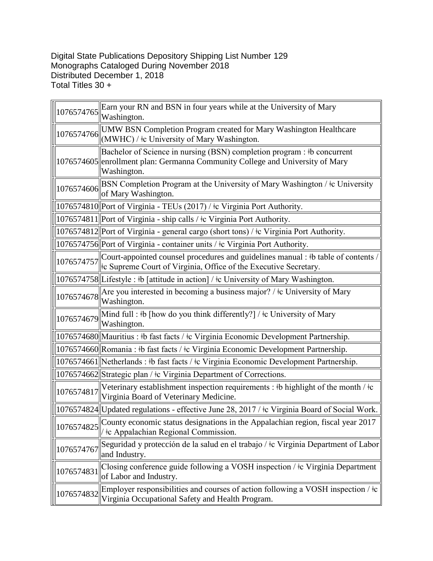Digital State Publications Depository Shipping List Number 129 Monographs Cataloged During November 2018 Distributed December 1, 2018 Total Titles 30 +

| 1076574765 | Earn your RN and BSN in four years while at the University of Mary<br>Washington.                                                                                        |
|------------|--------------------------------------------------------------------------------------------------------------------------------------------------------------------------|
|            | UMW BSN Completion Program created for Mary Washington Healthcare<br>$ 1076574766 $ (MWHC) / $\pm$ University of Mary Washington.                                        |
|            | Bachelor of Science in nursing (BSN) completion program : #b concurrent<br>1076574605  enrollment plan: Germanna Community College and University of Mary<br>Washington. |
| 1076574606 | BSN Completion Program at the University of Mary Washington / ‡c University<br>of Mary Washington.                                                                       |
|            | 1076574810 Port of Virginia - TEUs (2017) / ‡c Virginia Port Authority.                                                                                                  |
|            | 1076574811  Port of Virginia - ship calls / ‡c Virginia Port Authority.                                                                                                  |
|            | 1076574812 Port of Virginia - general cargo (short tons) / ‡c Virginia Port Authority.                                                                                   |
|            | 1076574756  Port of Virginia - container units / ‡c Virginia Port Authority.                                                                                             |
| 1076574757 | Court-appointed counsel procedures and guidelines manual : #b table of contents<br>the Supreme Court of Virginia, Office of the Executive Secretary.                     |
|            | 1076574758 Lifestyle : #b [attitude in action] / #c University of Mary Washington.                                                                                       |
| 1076574678 | Are you interested in becoming a business major? / $\pm$ c University of Mary<br>Washington.                                                                             |
|            | 1076574679 Mind full : $\frac{1}{2}$ [how do you think differently?] / $\frac{1}{2}$ University of Mary<br>Washington.                                                   |
|            | 1076574680 Mauritius : #b fast facts / #c Virginia Economic Development Partnership.                                                                                     |
|            | 1076574660 Romania : #b fast facts / #c Virginia Economic Development Partnership.                                                                                       |
|            | 1076574661 Netherlands : #b fast facts / $\pm$ Virginia Economic Development Partnership.                                                                                |
|            | 1076574662 Strategic plan / ‡c Virginia Department of Corrections.                                                                                                       |
| 1076574817 | Veterinary establishment inspection requirements : $\#b$ highlight of the month / $\#c$<br>Virginia Board of Veterinary Medicine.                                        |
|            | 1076574824 Updated regulations - effective June 28, 2017 / ‡c Virginia Board of Social Work.                                                                             |
| 1076574825 | County economic status designations in the Appalachian region, fiscal year 2017<br>tc Appalachian Regional Commission.                                                   |
| 1076574767 | Seguridad y protección de la salud en el trabajo / ‡c Virginia Department of Labor<br>and Industry.                                                                      |
| 1076574831 | Closing conference guide following a VOSH inspection / ‡c Virginia Department<br>of Labor and Industry.                                                                  |
| 1076574832 | Employer responsibilities and courses of action following a VOSH inspection / $\pm c$<br>Virginia Occupational Safety and Health Program.                                |